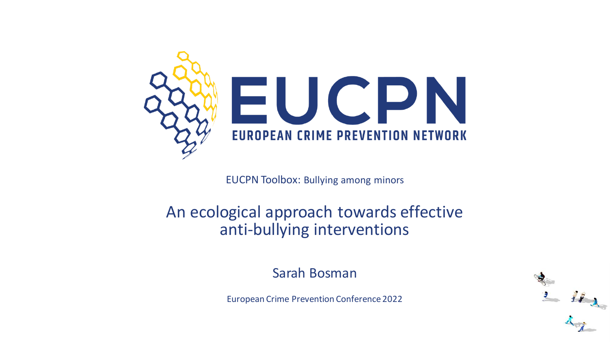

EUCPN Toolbox: Bullying among minors

#### An ecological approach towards effective anti-bullying interventions

Sarah Bosman

European Crime Prevention Conference 2022

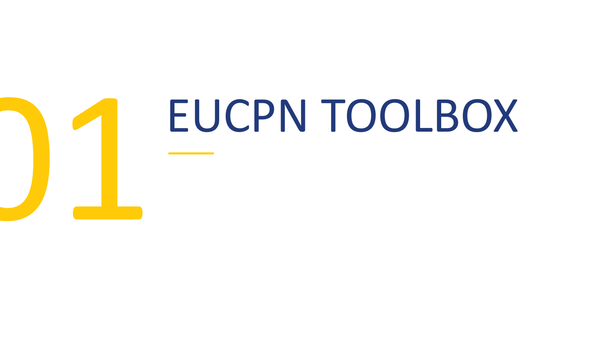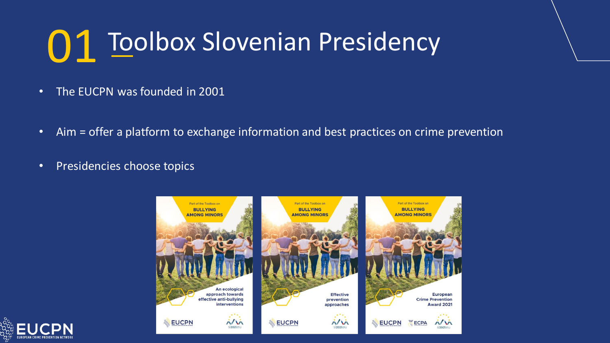#### Toolbox Slovenian Presidency 01

- The EUCPN was founded in 2001
- Aim = offer a platform to exchange information and best practices on crime prevention
- Presidencies choose topics



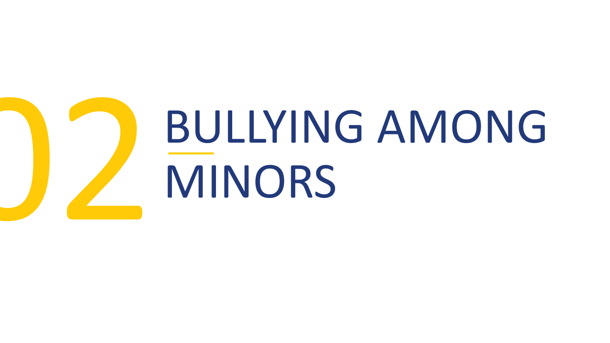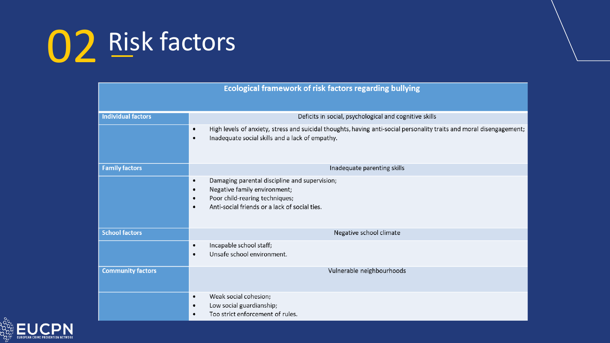| <b>Ecological framework of risk factors regarding bullying</b> |                                                                                                                                                                                                                      |
|----------------------------------------------------------------|----------------------------------------------------------------------------------------------------------------------------------------------------------------------------------------------------------------------|
| <b>Individual factors</b>                                      | Deficits in social, psychological and cognitive skills                                                                                                                                                               |
|                                                                | High levels of anxiety, stress and suicidal thoughts, having anti-social personality traits and moral disengagement;<br>$\bullet$<br>Inadequate social skills and a lack of empathy.<br>$\bullet$                    |
| <b>Family factors</b>                                          | Inadequate parenting skills                                                                                                                                                                                          |
|                                                                | Damaging parental discipline and supervision;<br>$\bullet$<br>Negative family environment;<br>$\bullet$<br>Poor child-rearing techniques;<br>$\bullet$<br>Anti-social friends or a lack of social ties.<br>$\bullet$ |
| <b>School factors</b>                                          | Negative school climate                                                                                                                                                                                              |
|                                                                | Incapable school staff;<br>$\bullet$<br>Unsafe school environment.<br>$\bullet$                                                                                                                                      |
| <b>Community factors</b>                                       | Vulnerable neighbourhoods                                                                                                                                                                                            |
|                                                                | Weak social cohesion;<br>$\bullet$<br>Low social guardianship;<br>$\bullet$<br>Too strict enforcement of rules.<br>٠                                                                                                 |

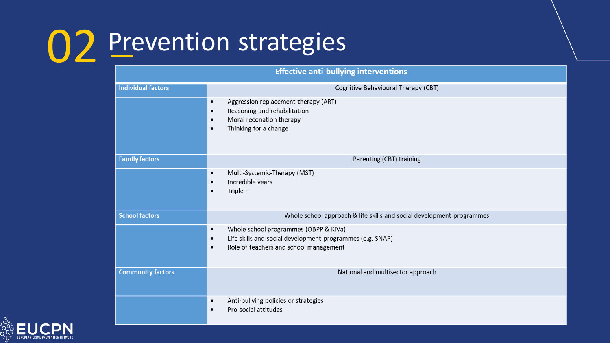| <b>Effective anti-bullying interventions</b> |                                                                                                                                                                               |
|----------------------------------------------|-------------------------------------------------------------------------------------------------------------------------------------------------------------------------------|
| <b>Individual factors</b>                    | Cognitive Behavioural Therapy (CBT)                                                                                                                                           |
|                                              | Aggression replacement therapy (ART)<br>$\bullet$<br>Reasoning and rehabilitation<br>$\bullet$<br>Moral reconation therapy<br>$\bullet$<br>Thinking for a change<br>$\bullet$ |
| <b>Family factors</b>                        | Parenting (CBT) training                                                                                                                                                      |
|                                              | Multi-Systemic-Therapy (MST)<br>$\bullet$<br>Incredible years<br>$\bullet$<br>Triple P<br>$\bullet$                                                                           |
| <b>School factors</b>                        | Whole school approach & life skills and social development programmes                                                                                                         |
|                                              | Whole school programmes (OBPP & KiVa)<br>$\bullet$<br>Life skills and social development programmes (e.g. SNAP)<br>$\bullet$<br>Role of teachers and school management<br>٠   |
| <b>Community factors</b>                     | National and multisector approach                                                                                                                                             |
|                                              | Anti-bullying policies or strategies<br>$\bullet$<br>Pro-social attitudes<br>$\bullet$                                                                                        |

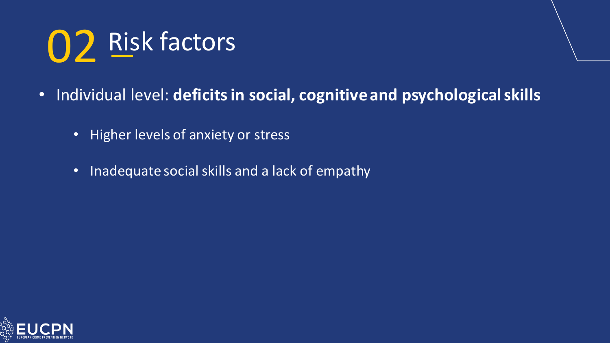- Individual level: **deficits in social, cognitive and psychological skills**
	- Higher levels of anxiety or stress
	- Inadequate social skills and a lack of empathy

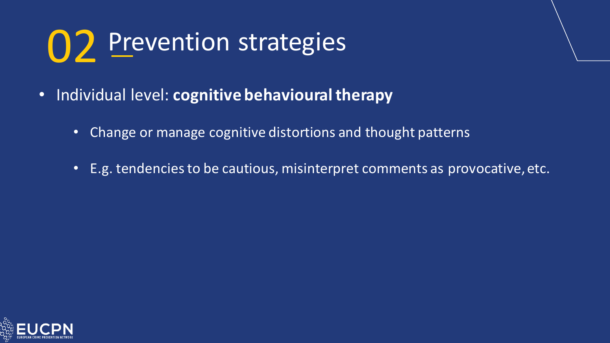- Individual level: **cognitive behavioural therapy**
	- Change or manage cognitive distortions and thought patterns
	- E.g. tendencies to be cautious, misinterpret comments as provocative, etc.

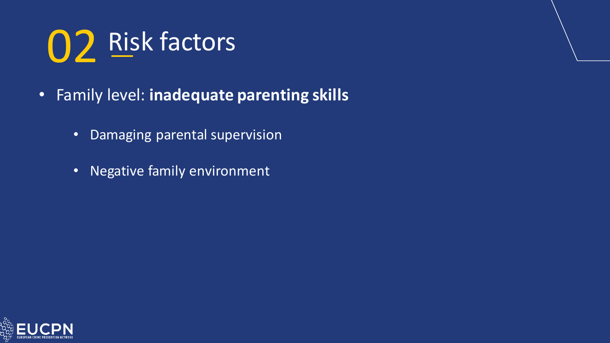- Family level: **inadequate parenting skills**
	- Damaging parental supervision
	- Negative family environment

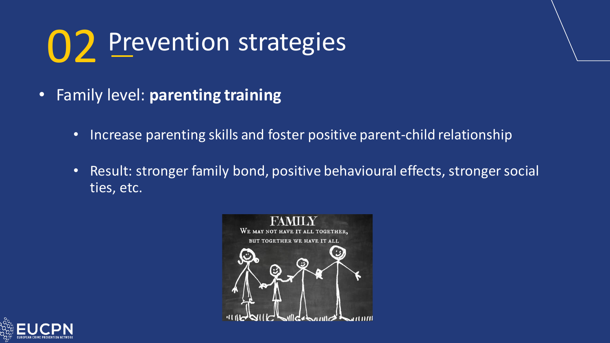- Family level: **parenting training**
	- Increase parenting skills and foster positive parent-child relationship
	- Result: stronger family bond, positive behavioural effects, stronger social ties, etc.



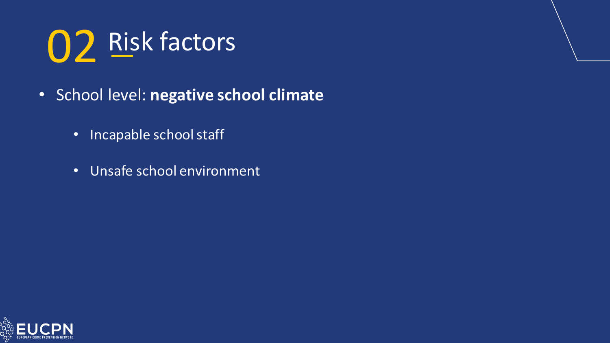- School level: **negative school climate**
	- Incapable school staff
	- Unsafe school environment

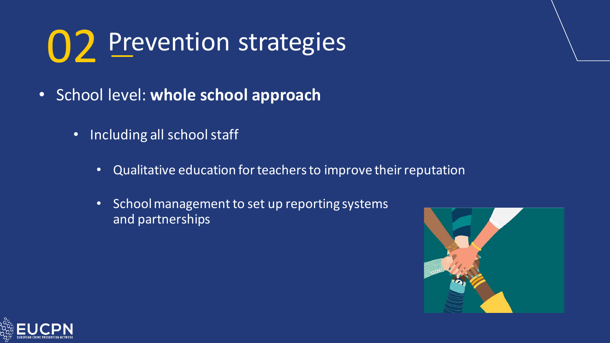- School level: **whole school approach**
	- Including all school staff
		- Qualitative education for teachers to improve their reputation
		- School management to set up reporting systems and partnerships



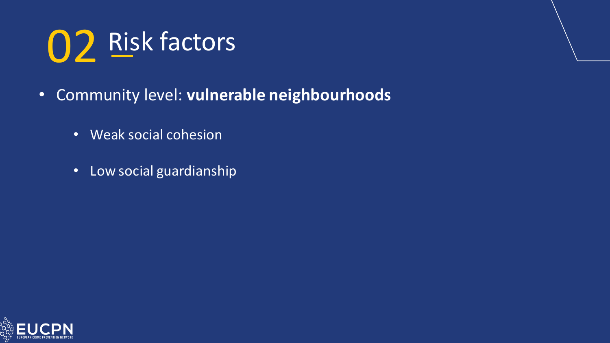- Community level: **vulnerable neighbourhoods**
	- Weak social cohesion
	- Low social guardianship

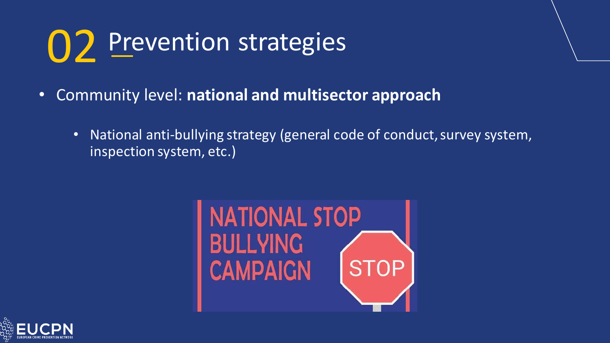- Community level: **national and multisector approach**
	- National anti-bullying strategy (general code of conduct, survey system, inspection system, etc.)